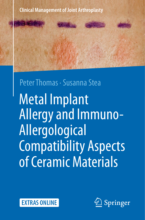

# Metal Implant Allergy and Immuno-Allergological Compatibility Aspects of Ceramic Materials Peter Thomas · Susanna Stea



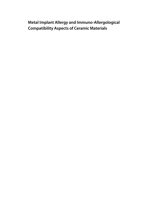## **Metal Implant Allergy and Immuno-Allergological Compatibility Aspects of Ceramic Materials**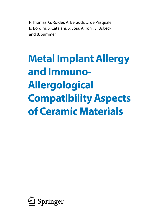P. Thomas, G. Roider, A. Beraudi, D. de Pasquale, B. Bordini, S. Catalani, S. Stea, A. Toni, S. Usbeck, and B. Summer

## **Metal Implant Allergy and Immuno-Allergological Compatibility Aspects of Ceramic Materials**

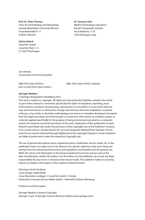**Prof. Dr. Peter Thomas** Clinic for Dermatology and Allergology Ludwig-Maximilians-University Munich Frauenlobstraße 9–11 D-80337 Munich

**Sylvia Usbeck**

CeramTec GmbH CeramTec Platz 1–9 D-73207 Plochingen **Dr. Susanna Stea** Medical Technology Laboratory Rizzoli Orthopaedic Institute Via di Barbiano, 1/10 I-40136 Bologna, Italy

see website: www.biolox.com/clinical-guides/

DOI 10.1007/978-3-662-47440-2

ISBN 978-3-662-47439-6 ISBN 978-3-662-47440-2 (eBook)

#### **Springer Medizin**

© Springer-Verlag Berlin Heidelberg 2015

This work is subject to copyright. All rights are reserved by the Publisher, whether the whole or part of the material is concerned, specifically the rights of translation, reprinting, reuse of illustrations, recitation, broadcasting, reproduction on microfilms or in any other physical way, and transmission or information storage and retrieval, electronic adaptation, computer software, or by similar or dissimilar methodology now known or hereafter developed. Exempted from this legal reservation are brief excerpts in connection with reviews or scholarly analysis or material supplied specifically for the purpose of being entered and executed on a computer system, for exclusive use by the purchaser of the work. Duplication of this publication or parts thereof is permitted only under the provisions of the Copyright Law of the Publisher's location, in its current version, and permission for use must always be obtained from Springer. Permissions for use may be obtained through RightsLink at the Copyright Clearance Center. Violations are liable to prosecution under the respective Copyright Law.

The use of general descriptive names, registered names, trademarks, service marks, etc. in this publication does not imply, even in the absence of a specific statement, that such names are exempt from the relevant protective laws and regulations and therefore free for general use. While the advice and information in this book are believed to be true and accurate at the date of publication, neither the authors nor the editors nor the publisher can accept any legal responsibility for any errors or omissions that may be made. The publisher makes no warranty, express or implied, with respect to the material contained herein.

Planning: Carola Herzberg Cover Design: deblik Berlin Cover Illustration (collage): © CeramTec GmbH, © Fotolia Production: Fotosatz-Service Köhler GmbH – Reinhold Schöberl, Würzburg

Printed on acid-free paper

Springer Medizin is brand of Springer Springer is part of Springer Science+Business Media (www.springer.com)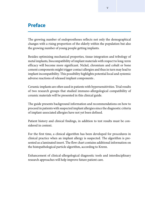## **Preface**

The growing number of endoprostheses reflects not only the demographical changes with a rising proportion of the elderly within the population but also the growing number of young people getting implants.

Besides optimizing mechanical properties, tissue integration and tribology of metal implants, biocompatibility of implant materials with respect to long-term efficacy will become more significant. Nickel, chromium and cobalt or bone cement components might trigger contact allergies and thus in turn may lead to implant incompatibility. This possibility highlights potential local and systemic adverse reactions of released implant components .

Ceramic implants are often used in patients with hypersensitivities. Trial results of two research groups that studied immuno-allergological compatibility of ceramic materials will be presented in this clinical guide.

The guide presents background information and recommendations on how to proceed in patients with suspected implant allergies since the diagnostic criteria of implant-associated allergies have not yet been defined.

Patient history and clinical findings, in addition to test results must be considered in context.

For the first time, a clinical algorithm has been developed for procedures in clinical practice when an implant allergy is suspected. The algorithm is presented as a laminated insert. The flow chart contains additional information on the histopathological particle algorithm, according to Krenn.

Enhancement of clinical-allergological diagnostic tools and interdisciplinary research approaches will help improve future patient care.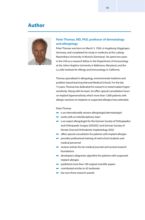### **Author**



#### **Peter Thomas, MD, PhD, professor of dermatology and allergology**

Peter Thomas was born on March 5, 1956, in Augsburg-Göggingen, Germany, and completed his study in medicine at the Ludwig-Maximilians-University in Munich (Germany). He spent two years in the USA as a research fellow in the Department of Immunology at the Johns Hopkins University in Baltimore, Maryland, and the La Jolla Institute for Allergy and Immunology in California.

Thomas specialized in allergology, environmental medicine and problem-based learning (Harvard Medical School). For the last 15 years, Thomas has dedicated his research to metal implant hypersensitivity. Along with his team, he offers special consultation hours on implant hypersensitivity which more than 1,000 patients with allergic reactions to implants or suspected allergies have attended.

#### Peter Thomas

- $\blacksquare$  is an internationally renown allergologist/dermatologist
- $\blacksquare$  works with an interdisciplinary team
- $\blacksquare$  is an expert allergologist for the German Society of Orthopaedics and Orthopaedic Surgery (DGOOC) and German Society of Dental, Oral and Orthodontic Implantology (DGI)
- $\blacksquare$  offers special consultation for patients with implant allergies
- 4 provides professional training of med school students and medical personnel
- 4 reviews articles for ten medical journals and several research foundations
- $\blacksquare$  developed a diagnostic algorithm for patients with suspected implant allergies
- 4 published more than 100 original scientific papers
- 4 contributed articles to 42 textbooks
- **has won three research awards**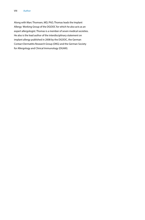Along with Marc Thomsen, MD, PhD, Thomas leads the Implant Allergy Working Group of the DGOOC for which he also acts as an expert allergologist. Thomas is a member of seven medical societies. He also is the lead author of the interdisciplinary statement on implant allergy published in 2008 by the DGOOC, the German Contact Dermatitis Research Group (DKG) and the German Society for Allergology and Clinical Immunology (DGAKI).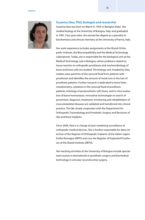

#### **Susanna Stea, PhD, biologist and researcher**

Susanna Stea was born on March 9, 1959, in Bologna (Italy). She studied biology at the University of Bologna, Italy, and graduated in 1981. Four years later, she earned her degree as a specialist in biochemistry and clinical chemistry at the University of Parma, Italy.

Her work experience includes assignments at the Rizzoli Orthopedic Institute, the Biocompatibility and the Medical Technology Laboratories. Today, she is responsible for the biological unit at the Medical Technology Lab in Bologna, where problems related to tissue reaction to orthopedic prostheses and mechanobiology of bone and bone cells are studied. The biology unit, headed by Stea, isolates wear particles of the synovial fluid from patients with prostheses and identifies the amount of metal ions in the hair of prosthesis patients. Further research is dedicated to bone histomorphometry, cytokines in the synovial fluid of prosthesis patients, histology of periprosthetic soft tissue, and in-vitro evaluation of bone homeostasis. Innovative technologies in search of prevention, diagnosis, treatment, monitoring and rehabilitation of musculoskeletal diseases are validated and transferred into clinical practice. The lab closely cooperates with the Department for Orthopedic Traumatology and Prosthetic Surgery and Revisions of Hip and Knee Implants.

Since 2009, Stea is in charge of post-marketing surveillance of orthopedic medical devices. She is further responsible for data collection of the Register of Orthopedic Implants of the Italian region Emilia-Romagna (RIPO) and runs the Register of Explanted Prostheses of the Rizzoli Institute (REPO).

Her teaching activities at the University of Bologna include specialized courses in biomaterials in prosthetic surgery and biomedical technology in articular reconstructive surgery.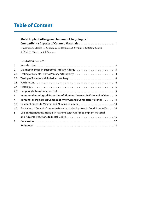## **Table of Content**

| Metal Implant Allergy and Immuno-Allergological                                     |  |  |  |
|-------------------------------------------------------------------------------------|--|--|--|
|                                                                                     |  |  |  |
| P. Thomas, G. Roider, A. Beraudi, D. de Pasquale, B. Bordini, S. Catalani, S. Stea, |  |  |  |
| A. Toni, S. Usbeck, and B. Summer                                                   |  |  |  |

#### **Level of Evidence: 2b**

| 1                       |                                                                                                            |
|-------------------------|------------------------------------------------------------------------------------------------------------|
| $\overline{2}$          | Diagnostic Steps in Suspected Implant Allergy (allergy and all contained all 200 million and 200 million 3 |
| 2.1                     |                                                                                                            |
| 2.2                     | Testing of Patients with Failed Arthroplasty  4                                                            |
| 2.3                     |                                                                                                            |
| 2.4                     |                                                                                                            |
| 2.5                     |                                                                                                            |
| $\overline{\mathbf{3}}$ | Immuno-allergological Properties of Alumina Ceramics In Vitro and In Vivo 6                                |
| 4                       | Immuno-allergological Compatibility of Ceramic Composite Material 10                                       |
| 4.1                     |                                                                                                            |
| 4.2                     | Evaluation of Ceramic Composite Material Under Physiologic Conditions In Vivo 14                           |
| 5                       | Use of Alternative Materials in Patients with Allergy to Implant Material                                  |
|                         |                                                                                                            |
| 6                       |                                                                                                            |
|                         |                                                                                                            |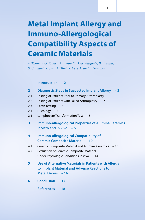## **Metal Implant Allergy and Immuno-Allergological Compatibility Aspects of Ceramic Materials**

1

*P. Thomas, G. Roider, A. Beraudi, D. de Pasquale, B. Bordini, S. Catalani, S. Stea, A. Toni, S. Usbeck, and B. Summer*

| $\mathbf{1}$   | Introduction - 2                                                                                                                  |
|----------------|-----------------------------------------------------------------------------------------------------------------------------------|
| $\overline{2}$ | Diagnostic Steps in Suspected Implant Allergy - 3                                                                                 |
| 2.1            | Testing of Patients Prior to Primary Arthroplasty $-3$                                                                            |
| 2.2            | Testing of Patients with Failed Arthroplasty - 4                                                                                  |
| 2.3            | Patch Testing $-4$                                                                                                                |
| 2.4            | Histology $-5$                                                                                                                    |
| 2.5            | Lymphocyte Transformation Test - 5                                                                                                |
| 3              | <b>Immuno-allergological Properties of Alumina Ceramics</b><br>In Vitro and In Vivo $-6$                                          |
| 4              | <b>Immuno-allergological Compatibility of</b><br><b>Ceramic Composite Material - 10</b>                                           |
| 4.1            | Ceramic Composite Material and Alumina Ceramics - 10                                                                              |
| 4.2            | <b>Evaluation of Ceramic Composite Material</b>                                                                                   |
|                | Under Physiologic Conditions In Vivo - 14                                                                                         |
| 5              | <b>Use of Alternative Materials in Patients with Allergy</b><br>to Implant Material and Adverse Reactions to<br>Metal Debris - 16 |
| 6              | Conclusion - 17                                                                                                                   |
|                | References - 18                                                                                                                   |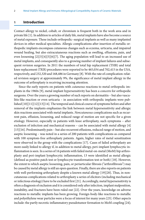#### **1 Introduction**

Contact allergy to nickel, cobalt, or chromium is frequent both in the work area and in private life [1]. In addition to articles of daily life, metal implants have also become a source of metal exposure. These include orthopedic–surgical implants as well as many implanted devices in other medical specialties. Allergic complications after insertion of metallic orthopedic implants encompass cutaneous changes such as eczema, urticaria, and impaired wound healing, but also extracutaneous reactions such as swelling, effusions, pain, and even loosening [2][3][4][5][6][7]. The aging population will lead to an increased use of metal implants, and consequently also to a growing number of implant failures and subsequent revision surgeries. In 2011 the numbers of total hip replacement (THR) and total knee replacement (TKR) procedures were reported to be 465,034 and 702,415 in the USA, respectively, and 232,320 and 168,486 in Germany [8]. With the rate of complication-related revision surgery at approximately 9%, the significance of metal implant allergy in the outcome of arthroplasty is receiving increasing attention.

Since the early reports on patients with *cutaneous* reactions to metal orthopedic implants in the 1960s [9], metal implant hypersensitivity has been a concern for orthopedic surgeons. Over the years a growing number of such reports on dermatitis – but also vasculitis-like reaction or even urticaria – in association with orthopedic implants were published [10][11][12][13][14]. The temporal and clinical course of symptoms before and after removal of the implants emphasizes the link between metal hypersensitivity and allergic skin reactions associated with metal implants. *Noncutaneous* complications such as recurrent pain, effusion, loosening, and reduced range of motion are not specific for a given etiology. However, especially in patients with knee arthroplasty, such symptoms – after exclusion of infection and mechanical reasons – can be associated with metal allergy [4] [15][16]. Predominantly pain – but also recurrent effusions, reduced range of motion, and aseptic loosening – was noted in a series of 200 patients with complications as compared with 100 symptom-free arthroplasty patients. Again, higher rates of metal sensitization were observed in the group with the complications [17]. Cases of failed arthroplasty are more easily linked to allergy if, in addition to metal allergy, peri-implant lymphocytic inflammation is seen. In a series of 16 patients with failed metal-on-metal (MoM) hip arthroplasty and peri-implant lymphocytic inflammation, 13 were identified as metal allergic (defined as positive patch test or lymphocyte transformation test or both) [18]. However, the extent to which aseptic loosening, pain, or periarticular fibrosis ("arthrofibrosis") may be caused by metal allergy is still an open question. Finally, there are also reports on patients with well-performing arthroplasty despite a known metal allergy [19][20]. Thus, in noncutaneous complications related to arthroplasty a series of elicitors (including mechanical or infectious etiology) have to be excluded first [21]. Accordingly, metal hypersensitivity is often a diagnosis of exclusion and it is considered only after infection, implant malposition, instability, and fractures have been ruled out [22]. Over the years, knowledge on adverse reactions to metallic implants has been growing. Foreign-body-like reactions to metallic and polyethylene wear particles were a focus of interest for many years [23]. Other aspects include: the partly necrotic inflammatory pseudotumor formation to MoM coupling [24];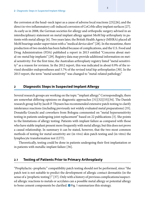the corrosion at the head–neck taper as a cause of adverse local reactions [25][26]; and the direct in vivo inflammatory cell-induced corrosion of CoCrMo alloy implant surfaces [27]. As early as in 2008, the German societies for allergy and orthopedic surgery advised in an interdisciplinary statement on metal implant allergy against MoM hip arthroplasty in patients with metal allergy [6]. Two years later, the British Health Agency (MHRA) placed all MoM bearings under supervision with a "medical device alert" [28]. In the meantime, there production of two models has been halted because of complications, and the U.S. Food and Drug Administration (FDA) published a report in 2013 entitled "Concerns about metal-on-metal hip implants" [29]. Registry data may provide additional information on metal sensitivity: For the first time, the Australian arthroplasty registry listed "metal sensitivity" as a reason for revision. In the 2012 report, this was indicated in about 0.9% of the revised shoulder endoprostheses and 5.7% of the revised total hip arthroplasties [30]. In the 2013 report, the term "metal sensitivity" was changed to "metal-related pathology."

#### **2 Diagnostic Steps in Suspected Implant Allergy**

Several research groups are working on the topic "implant allergy." Correspondingly, there are somewhat differing opinions on diagnostic approaches [31][32][33][34]. The Danish research group led by Jacob P. Thyssen has recommended extensive patch testing to clarify intolerance reactions (including previously not widely evaluated metal preparations) [35]. Donatella Granchi and coworkers from Bologna commented on "metal hypersensitivity testing in patients undergoing joint replacement" based on 22 publications [3]. She points to the limitations of allergy testing: Patients with implant failure as compared with those who have stable implant present more frequently with metal allergy, but this does not prove a causal relationship. In summary it can be stated, however, that the two most common methods of testing for metal sensitivity are (in vivo) skin patch testing and (in vitro) the lymphocyte transformation test (LTT).

Theoretically, testing could be done in patients undergoing their first implantation or in patients with metallic implant failure [36].

#### **2.1 Testing of Patients Prior to Primary Arthroplasty**

"Prophylactic–prophetic" compatibility patch testing should not be performed, since "the patch test is not suitable to predict the development of allergic contact dermatitis (in the sense of a 'prophetic testing')" [37]. Only with a history of previous complications/suspected allergic reactions to metals or acrylates can a possible metal allergy or potential allergy to bone cement components be clarified.  $\Box$  Fig. 1 summarizes this strategy.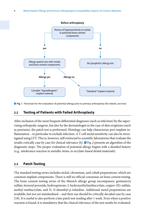

**D** Fig. 1 Flowchart for the evaluation of potential allergy prior to primary arthroplasty (for details, see text)

#### **2.2 Testing of Patients with Failed Arthroplasty**

After exclusion of the most frequent differential diagnoses (such as infection) by the supervising orthopedic surgeon, but also by the dermatologist in the case of skin eruptions (such as psoriasis), the patch test is performed. Histology can help characterize peri-implant inflammation – in particular to exclude infection. A T-cell metal sensitivity can also be investigated using LTT. This is, however, still restricted to scientific laboratories that evaluate the results critically case by case for clinical relevance [6].  $\blacksquare$  Fig. 2 presents an algorithm of the diagnostic steps. The proper evaluation of potential allergy begins with a detailed history (e.g., intolerance reaction to metallic items, to acrylate-based dental materials).

#### **2.3 Patch Testing**

The standard testing series includes nickel, chromium, and cobalt preparations, which are common implant components. There is still no official consensus on bone cement testing. The bone cement testing series of the Munich allergy group encompasses: gentamicin sulfate, benzoyl peroxide, hydroquinone, 2-hydroxyethylmethacrylate, copper-(II)-sulfate, methyl methacrylate, and *N*, *N*-dimethyl-*p*-toluidine. Additional metal preparations are available, but not yet standardized – and their use should be critically decided case by case [18]. It is useful to also perform a late patch test reading after 1 week. Even when a positive reaction is found, it is mandatory that the clinical relevance of the test results be evaluated.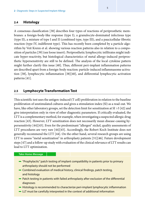#### **2.4 Histology**

A consensus classification [38] describes four types of reactions of periprosthetic membranes: a foreign-body-like response (type I), a granulocyte-dominated infectious type (type II), a mixture of type I and II (combined type, type III), and a paucicellular fibrotic reaction (type IV, indifferent type). This has recently been completed by a particle algorithm by Veit Krenn et al. showing various reaction patterns also in relation to a composition of particles [39] (see loose insert). Periprosthetic lymphocytic infiltrates might indicate hyper-reactivity, but histological characteristics of metal allergy-induced periprosthetic hypersensitivity are still to be defined. The analysis of the local cytokine pattern might further clarify this issue [40]. Thus, different peri-implant inflammation patterns are described apart from a foreign-body reaction: particle-induced inflammasome activation [38], lymphocytic inflammation [38][40], and differential lymphocytic activation patterns [41].

#### **2.5 Lymphocyte Transformation Test**

This scientific test uses the antigen-induced (T cell) proliferation in relation to the baseline proliferation of unstimulated cultures and gives a stimulation index (SI) as a read-out. We have, like other laboratory groups, set the detection limit for sensitization at SI > 3 [42] and give interpretation only in view of other diagnostic parameters. If critically evaluated, the LTT is a complementary method, for example, when investigating a suspected allergic drug reaction [43]. However, LTT sensitization does not necessarily mean disease-causing hypersensitivity [44][45]. Even for the predominant "allergen" nickel, quality assessments of LTT procedures are very rare [44][45]. Accordingly, the Robert Koch Institute does not generally recommend the LTT [44]. On the other hand, several research groups are using LTT to assess "metal sensitization" in arthroplasty patients [31][46]. Future development steps [47] and a follow-up study with evaluation of the clinical relevance of LTT results can lead to LTT optimization.

#### **Take-Home-Message**

- 5 "Prophylactic" patch testing of implant compatibility in patients prior to primary arthroplasty should not be performed
- 5 Combined evaluation of medical history, clinical findings, patch testing, and histology
- $-$  Patch testing in patients with failed arthroplasty after exclusion of the differential diagnoses
- $-$  Histology is recommended to characterize peri-implant lymphocytic inflammation
- 5 LLT must be carefully interpreted in the context of additional information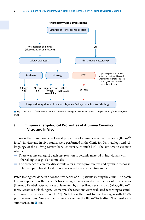

**D. Fig. 2** Flowchart for the evaluation of potential allergy in arthroplasty with complications (for details, see text)

#### **3 Immuno-allergological Properties of Alumina Ceramics In Vitro and In Vivo**

To assess the immuno-allergological properties of alumina ceramic materials (Biolox® forte), in vitro and in vivo studies were performed in the Clinic for Dermatology and Allergology of the Ludwig Maximilians University, Munich [48]. The aim was to evaluate whether:

- $\blacksquare$  There was any (allergic) patch test reaction to ceramic material in individuals with other allergies (e.g., also to metals)
- $\blacksquare$  The presence of ceramic discs would alter in vitro proliferative and cytokine response of human peripheral blood mononuclear cells in a cell culture model

Patch testing was done in a consecutive series of 250 patients visiting the clinic. The patch test was applied on the patient's back using a European standard series of 30 allergens (Hermal, Reinbek, Germany) supplemented by a sterilized ceramic disc  $(A<sub>2</sub>O<sub>3</sub>-Biolox<sup>®</sup>$ forte, CeramTec, Plochingen, Germany). The reactions were evaluated according to standard procedure on days 3 and 4 [37]. Nickel was the most frequent allergen with 17.2% positive reactions. None of the patients reacted to the Biolox®forte discs. The results are summarized in **D** Tab. 1.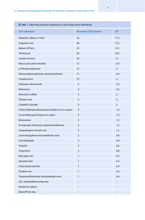| <b>Q</b> Tab. 1 Patch test reaction frequency in 250 consecutive individuals |                                                    |                               |                |  |
|------------------------------------------------------------------------------|----------------------------------------------------|-------------------------------|----------------|--|
|                                                                              | <b>Test substance</b>                              | <b>Reactions/250 patients</b> | (%)            |  |
|                                                                              | Nickel(II)-sulfate x 6 H2O                         | 43                            | 17.2           |  |
|                                                                              | Fragrance mix                                      | 38                            | 15.2           |  |
|                                                                              | <b>Balsam of Peru</b>                              | 33                            | 13.2           |  |
|                                                                              | Thimerosal                                         | 26                            | 10.4           |  |
|                                                                              | Lanolin alcohol                                    | 20                            | 8              |  |
|                                                                              | Mercury(II)-amid-chloride                          | 17                            | 6.8            |  |
|                                                                              | $p$ -Phenylenediamine                              | 15                            | 6              |  |
|                                                                              | Dibromodicyanobutane, phenoxyethanol               | 11                            | 4.4            |  |
|                                                                              | Colophonium                                        | 10                            | $\overline{4}$ |  |
|                                                                              | Potassium dichromate                               | 6                             | 2.4            |  |
|                                                                              | Bufexamac                                          | 6                             | 2.4            |  |
|                                                                              | Neomycin sulfate                                   | 5                             | $\overline{2}$ |  |
|                                                                              | Thiuram mix                                        | 5                             | $\overline{2}$ |  |
|                                                                              | Cobalt(II)-chloride                                | 5                             | $\overline{2}$ |  |
|                                                                              | (Chlor)-Methylisothiazolinone (Kathon CG in water) | $\overline{4}$                | 1.6            |  |
|                                                                              | Cocamidopropyl betaine (in water)                  | $\overline{4}$                | 1.6            |  |
|                                                                              | Benzocaine                                         | 3                             | 1.2            |  |
|                                                                              | N-Isopropyl-N-phenyl-p-phenylenediamine            | 3                             | 1.2            |  |
|                                                                              | Sesquiterpene lactone mix                          | 3                             | 1.2            |  |
|                                                                              | p-tert-Butylphenol-formaldehyde resin              | $\overline{2}$                | 0.8            |  |
|                                                                              | Formaldehyde                                       | $\overline{2}$                | 0.8            |  |
|                                                                              | Propolis                                           | $\overline{2}$                | 0.8            |  |
|                                                                              | Turpentine                                         | $\overline{2}$                | 0.8            |  |
|                                                                              | Mercapto mix                                       | $\mathbf{1}$                  | 0.4            |  |
|                                                                              | Epoxide resin                                      | $\mathbf{1}$                  | 0.4            |  |
|                                                                              | Cetyl stearyl alcohol                              | $\mathbf{1}$                  | 0.4            |  |
|                                                                              | Paraben mix                                        | $\mathbf{1}$                  | 0.4            |  |
|                                                                              | Toluenesulfonamide-formaldehyde resin              | $\mathbf{1}$                  | 0.4            |  |
|                                                                              | Zinc diethyldithiocarbamate                        |                               |                |  |
|                                                                              | Vaselinum album                                    |                               |                |  |
|                                                                              | Biolox <sup>®</sup> forte disc                     |                               |                |  |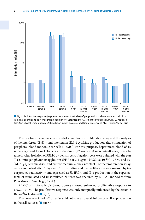

**D** Fig. 3 Proliferative response (expressed as stimulation index) of peripheral blood mononuclear cells from 15 nickel-allergic and 15 nonallergic blood donors. Statistics: *t* test. *Medium* culture medium, *NiSO*4 nickel sul-

The in vitro experiments consisted of a lymphocyte proliferation assay and the analysis of the interferon (IFN)-γ and interleukin (IL)-4 cytokine production after stimulation of peripheral blood mononuclear cells (PBMC). For this purpose, heparinized blood of 15 nonallergic and 15 nickel-allergic individuals (22 women, 8 men, 24–70 years) was obtained. After isolation of PBMC by density centrifugation, cells were cultured with the pan T-cell mitogen phytohemagglutinin (PHA) at 2.4  $\mu$ g/ml, NiSO<sub>4</sub> at 10<sup>-4</sup>M, 10<sup>-5</sup>M, and 10<sup>-</sup>  $6M$ , Al<sub>2</sub>O<sub>3</sub> ceramic discs, and culture medium alone as control. For the proliferation assay, cells were pulsed after 5 days with  ${}^{3}$ H thymidine and the proliferation was assessed by incorporated radioactivity and expressed as SI. IFN-γ and IL-4 production in the supernatants of stimulated and unstimulated cultures was analyzed by ELISA (antibodies from PharMingen, San Diego, Calif.).

PBMC of nickel-allergic blood donors showed enhanced proliferative response to  $NiSO<sub>4</sub> 10<sup>-4</sup>M$ . The proliferative response was only marginally influenced by the ceramic Biolox<sup>®</sup>forte discs ( $\blacksquare$  Fig. 3).

The presence of Biolox®forte discs did not have an overall influence on IL-4 production in the cell cultures ( $\blacksquare$  Fig. 4).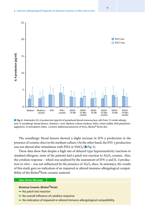

**D** Fig. 4 Interleukin (*IL*)-4 production (pg/ml) of peripheral blood mononuclear cells from 15 nickel-allergic and 15 nonallergic blood donors. Statistics: *t* test. *Medium* culture medium, *NiSO4* nickel sulfate, *PHA* phytohem-

The nonallergic blood donors showed a slight increase in IFN-γ production in the presence of ceramic discs in the medium culture. On the other hand, the IFN-γ production was not altered after stimulation with PHA or NiSO<sub>4</sub> ( $\blacksquare$  Fig. 5).

These data show that despite a high rate of delayed-type hypersensitivity reactions to standard allergens, none of the patients had a patch test reaction to  $A<sub>1</sub>O<sub>3</sub>$  ceramic. Also, the cytokine response – which was analyzed by the assessment of IFN- $\gamma$  and IL-4 production in vitro – was not influenced by the presence of  $A<sub>1</sub>, O<sub>3</sub>$  discs. In summary, the results of this study gave no indication of an impaired or altered immuno-allergological compatibility of the Biolox®forte ceramic material.

#### **Take-Home-Message**

#### **Alumina Ceramic (Biolox**®**forte)**

- $\blacksquare$  No patch test reaction
- No overall influence of cytokine response
- 5 No indication of impaired or altered immuno-allergological compatibility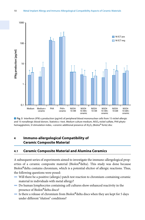

. **Fig. 5** Interferon (*IFN*)-γ production (pg/ml) of peripheral blood mononuclear cells from 15 nickel-allergic and 15 nonallergic blood donors. Statistics: *t* test. *Medium* culture medium, *NiSO4* nickel sulfate, *PHA* phyto-

#### **4 Immuno-allergological Compatibility of Ceramic Composite Material**

#### **4.1 Ceramic Composite Material and Alumina Ceramics**

A subsequent series of experiments aimed to investigate the immuno-allergological properties of a ceramic composite material (Biolox®delta). This study was done because Biolox®delta contains chromium, which is a potential elicitor of allergic reactions. Thus, the following questions were posed:

- 4 Will there be a positive (allergic) patch test reaction to chromium-containing ceramic material in individuals with metal allergy?
- $\blacksquare$  Do human lymphocytes containing cell cultures show enhanced reactivity in the presence of Biolox®delta discs?
- $\blacksquare$  Is there a release of chromium from Biolox®delta discs when they are kept for 5 days under different "elution" conditions?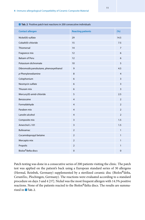| Tab. 2 Positive patch test reactions in 200 consecutive individuals |                          |                |  |
|---------------------------------------------------------------------|--------------------------|----------------|--|
| <b>Contact allergen</b>                                             | <b>Reacting patients</b> | (%)            |  |
| Nickel(II)-sulfate                                                  | 29                       | 14.5           |  |
| Cobalt(II)-chloride                                                 | 15                       | 7.5            |  |
| Thiomersal                                                          | 14                       | $\overline{7}$ |  |
| Fragrance mix                                                       | 12                       | 6              |  |
| <b>Balsam of Peru</b>                                               | 12                       | 6              |  |
| Potassium dichromate                                                | 10                       | 5              |  |
| Dibromodicyanobutane, phenoxyethanol                                | 9                        | 4.5            |  |
| $p$ -Phenylenediamine                                               | 8                        | $\overline{4}$ |  |
| Colophonium                                                         | 6                        | 3              |  |
| Neomycin sulfate                                                    | 6                        | 3              |  |
| Thiuram mix                                                         | 6                        | 3              |  |
| Mercury(II)-amid-chloride                                           | 5                        | 2.5            |  |
| Benzocaine                                                          | 4                        | $\overline{2}$ |  |
| Formaldehyde                                                        | 4                        | $\overline{2}$ |  |
| Paraben mix                                                         | $\overline{4}$           | $\overline{2}$ |  |
| Lanolin alcohol                                                     | $\overline{4}$           | $\overline{2}$ |  |
| Composite mix                                                       | 3                        | 1.5            |  |
| Amerchol L-101                                                      | 3                        | 1.5            |  |
| <b>Bufexamac</b>                                                    | $\overline{2}$           | $\mathbf{1}$   |  |
| Cocamidopropyl betaine                                              | $\overline{2}$           | $\mathbf{1}$   |  |
| Mercapto mix                                                        | $\overline{2}$           | $\mathbf{1}$   |  |
| Propolis                                                            | $\overline{2}$           | $\mathbf{1}$   |  |
| Biolox <sup>®</sup> delta discs                                     | 0                        | 0              |  |

Patch testing was done in a consecutive series of 200 patients visiting the clinic. The patch test was applied on the patient's back using a European standard series of 30 allergens (Hermal, Reinbek, Germany) supplemented by a sterilized ceramic disc (Biolox®delta, CeramTec, Plochingen, Germany). The reactions were evaluated according to a standard procedure on days 3 and 4 [37]. Nickel was the most frequent allergen with 14.5% positive reactions. None of the patients reacted to the Biolox®delta discs. The results are summarized in  $\blacksquare$  Tab. 2.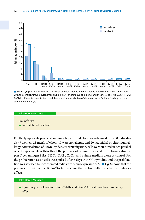

**D** Fig. 6 Lymphocyte proliferative response of metal-allergic and nonallergic blood donors after stimulation with the control stimuli phytohemagglutinin (*PHA*) and tetanus toxoid (*TT*) and the metal salts NiSO<sub>4</sub>, CrCl<sub>2</sub>, and CoCl<sub>3</sub> in different concentrations and the ceramic materials Biolox®delta and forte. Proliferation is given as a<br>stimulation index (SI)

#### **Take-Home-Message**

### **Biolox**®**delta**

- No patch test reaction

For the lymphocyte proliferation assay, heparinized blood was obtained from 30 individuals (7 women, 23 men), of whom 10 were nonallergic and 20 had nickel or chromium allergy. After isolation of PBMC by density centrifugation, cells were cultured in two parallel sets of experiments with/without the presence of ceramic discs and the following stimuli: pan T-cell mitogen PHA,  $NiSO<sub>4</sub>$  CrCl<sub>3</sub>, CoCl<sub>2</sub>, and culture medium alone as control. For the proliferation assay, cells were pulsed after 5 days with  ${}^{3}H$  thymidine and the proliferation was assessed by incorporated radioactivity and expressed as SI.  $\Box$  Fig. 6 shows that the presence of neither the Biolox®forte discs nor the Biolox®delta discs had stimulatory effects.

#### **Take-Home-Message**

**-** Lymphocyte proliferation: Biolox<sup>®</sup>delta and Biolox<sup>®</sup>forte showed no stimulatory effects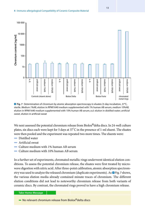

**D** Fig. 7 Determination of chromium by atomic absorption spectroscopy in eluates (5-day incubation, 37°C, sterile. *Medium 1%AB*, elution in RPMI1640 medium supplemented with 1% human AB serum; *medium 10%AB*, elution in RPMI1640 medium supplemented with 10% human AB serum; *a.d.* elution in distilled water; *artificial sweat*, elution in artificial sweat

We next assessed the potential chromium release from Biolox®delta discs. In 24-well culture plates, six discs each were kept for 5 days at 37° C in the presence of 1-ml eluent. The eluates were then pooled and the experiment was repeated two more times. The eluents were:

- **Distilled water**
- $\blacksquare$  Artificial sweat
- 4 Culture medium with 1% human AB serum
- 4 Culture medium with 10% human AB serum

In a further set of experiments, chromated metallic rings underwent identical elution conditions. To assess the potential chromium release, the eluates were first treated by microwave digestion with nitric acid. After three-point calibration, atomic absorption spectrometry was used to analyze the released chromium (duplicate experiments). As  $\Box$  Fig. 7 shows, the various elution media already contained minute traces of chromium. The different elution conditions did not lead to noteworthy chromium release from both variants of ceramic discs. By contrast, the chromated rings proved to have a high chromium release.

#### **Take-Home-Message**

 $\blacksquare$  No relevant chromium release from Biolox $^{\circledR}$ delta discs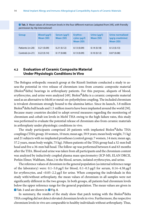**Tab. 3** Mean values of chromium levels in the four different matrices (adapted from [49], with friendly permission by *Hip International*)

| <b>Group</b>      | Blood (µq/l)<br>Mean (SD) | Serum $(\mu q/l)$<br>Mean (SD) | Erythro-<br>cytes (µq/l)<br>Mean (SD) | Urine $(\mu q/l)$<br>Mean (SD) | Urine normalized<br>(µg/g creatinine)<br>Mean (SD) |
|-------------------|---------------------------|--------------------------------|---------------------------------------|--------------------------------|----------------------------------------------------|
| Patients $(n=20)$ | 0.21(0.09)                | 0.21(0.12)                     | 0.13(0.09)                            | 0.14(0.18)                     | 0.12(0.13)                                         |
| Controls $(n=21)$ | 0.22(0.14)                | 0.17(0.08)                     | 0.13(0.09)                            | 0.10(0.12)                     | 0.07(0.08)                                         |

#### **4.2 Evaluation of Ceramic Composite Material Under Physiologic Conditions In Vivo**

The Bologna orthopedic research group at the Rizzoli Institute conducted a study to assess the potential in vivo release of chromium ions from ceramic composite material (Biolox®delta) bearings in arthroplasty patients. For this purpose, aliquots of blood, erythrocytes, and urine were analyzed [49]. Biolox®delta is a ceramic composite material used as an alternative to MoM or metal-on-polyethylene coupling. The included chromium is trivalent chromium strongly bound to the alumina lattice. Since its launch, 3.8 million Biolox<sup>®</sup>delta ball heads and 1.5 million inserts have been implanted around the world [50]. Because many countries decided to adopt several measures regarding the monitoring of chromium and cobalt ion levels in MoM THA owing to the high failure rates, this study was performed to evaluate the potential release of chromium also from ceramic materials in arthroplasty under physiologic conditions in vivo.

The study participants comprised 20 patients with implanted Biolox®delta THA couplings (THA group; 10 women, 10 men; mean age, 59.9 years; mean body weight, 71 kg) and 21 subjects with no implanted prostheses (control group; 7 women, 14 men; mean age, 57.2 years, mean body weight, 75 kg). Fifteen patients of the THA group had a 32-mm ball head and five a 36-mm ball head. The follow-up was performed between 6 and 63 months after the THA. Blood and urine was taken from all participants and the chromium content was analyzed by inductively coupled plasma mass spectrometry (ICP-MS, ELAN DRCII, Perkin Elmer, Waltham, Mass.) in the blood, serum, isolated erythrocytes, and urine.

The reference values of chromium in the general population (as internal reference range of the laboratory) were:  $0.1-5.0 \mu g/l$  for blood,  $0.1-0.5 \mu g/l$  for serum,  $0.14-4.58 \mu g/l$ for erythrocytes, and <0.05–2.2 µg/l for urine. When comparing the individuals in this study with/without arthroplasty, the mean values of chromium in all samples were not significantly different in the two groups. In both groups, all patients had chromium levels below the upper reference range for the general population. The mean values are given in **D** Tab. 3 and are shown in **D** Fig. 8.

In summary, the results of the study show that patch testing with the Biolox<sup>®</sup>delta THA coupling did not detect elevated chromium levels in vivo. Furthermore, the respective chromium levels in vivo are comparable to healthy individuals without arthroplasty. Thus,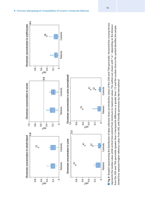

represents the median value, while vertical lines extend from minimum to maximum values. The outliers are shown with \* or °, depending on the distance represents the median value, while *vertical lines* extend from minimum to maximum values. The outliers are shown with \* or °, depending on the distance from the 25th and 75th percentile (greater than 3 interguartile differences or greater than 1.5) and the number close to the symbol identifies the sample. from the 25th and 75th percentile (greater than 3 interquartile differences or greater than 1.5) and the number close to the symbol identifies the sample. Dotted lines represent higher reference value. From [49], with friendly permission by Hip International *Dotted lines* represent higher reference value. From [49], with friendly permission by *Hip International*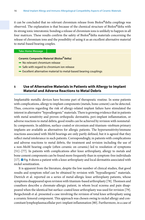it can be concluded that no relevant chromium release from Biolox®delta couplings was observed. The explanation is that because of the chemical structure of Biolox®delta with its strong ionic interatomic bonding a release of chromium ions is unlikely to happen in all four matrices. These results confirm the safety of Biolox<sup>®</sup>delta materials concerning the release of chromium ions and the possibility of using it as an excellent alternative material to metal-based bearing couples.

#### **Take-Home-Message**

#### **Ceramic Composite Material (Biolox**®**delta)**

- $\blacksquare$  No relevant chromium release
- $-$  Safe with regard to chromium ion release
- $=$  Excellent alternative material to metal-based bearing couplings

#### **5 Use of Alternative Materials in Patients with Allergy to Implant Material and Adverse Reactions to Metal Debris**

Implantable metallic devices have become part of therapeutic routine. In some patients with complications, allergy to implant components (metals, bone cement) can be detected. Thus, concerns regarding the risk of allergy-related implant failure have stimulated the interest in alternative "hypoallergenic" materials. There is growing evidence that in patients with metal sensitivity and proven orthopedic dermatitis, peri-implant inflammation, or adverse reactions to metal debris, good results can be achieved by revision with nonmetallic components. In addition, surface-coated or zirconium and titanium–niobium primary implants are available as alternatives for allergic patients. The hypersensitivity/immune reactions associated with MoM bearings are only partly defined, but it is agreed that they reflect metal intolerance in such patients. Correspondingly, in patients with complications and adverse reactions to metal debris, the treatment and revision including the use of a non-MoM bearing couple (often ceramic on ceramic) led to resolution of symptoms [51]–[77]. In patients with complications after knee arthroplasty, allergy to metals and bone cement components can be found more frequently than in symptom-free individuals [17].  $\Box$  Fig. 9 shows a patient with a knee arthroplasty and local dermatitis associated with nickel sensitization.

It is apparent from the literature, despite the low number of clinical studies, that good results and symptom relief can be obtained by revision with "hypoallergenic" materials. Dietrich et al. reported on a series of metal-allergic knee arthroplasty patients, whose symptoms disappeared upon revision with titanium-based arthroplasty [78]. Thomsen and coauthors describe a chromate-allergic patient, in whom local eczema and pain disappeared when the identical but surface-coated knee arthroplasty was used for revision [79]. Bergschmidt et al. presented a case involving the revision of total knee arthroplasty using a ceramic femoral component. This approach was chosen owing to nickel allergy and concomitant lymphoplasmacellular peri-implant inflammation [80]. Furthermore, in a case of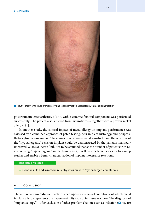

**D** Fig. 9 Patient with knee arthroplasty and local dermatitis associated with nickel sensitization

posttraumatic osteoarthritis, a TKA with a ceramic femoral component was performed successfully. The patient also suffered from arthrofibrosis together with a proven nickel allergy [81].

In another study, the clinical impact of metal allergy on implant performance was assessed by a combined approach of patch testing, peri-implant histology, and periprosthetic cytokine assessment. The connection between metal sensitivity and the outcome of the "hypoallergenic" revision implant could be demonstrated by the patients' markedly improved W[OMAC](#page-31-0) score [40]. It is to be assumed that as the number of patients with revision using "hypoallergenic" implants increases, it will provide larger series for follow-up studies and enable a better characterization of implant intolerance reactions.

#### **Take-Home-Message**

5 Good results and symptom relief by revision with "hypoallergenic" materials

#### **6 Conclusion**

The umbrella term "adverse reaction" encompasses a series of conditions, of which metal implant allergy represents the hypersensitivity type of immune reaction. The diagnosis of "implant allergy" – after exclusion of other problem elicitors such as infection  $\left( \Box$  Fig. 10)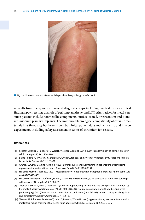

**D** Fig. 10 Skin reaction associated with hip arthroplasty: allergy or infection?

– results from the synopsis of several diagnostic steps including medical history, clinical findings, patch testing, analysis of peri-implant tissue, and LTT. Alternatives for metal-sensitive patients include nonmetallic components, surface-coated, or zirconium and titanium–niobium primary implants. The immuno-allergological compatibility of ceramic materials in arthroplasty has been shown by clinical patient data and by in vitro and in vivo experiments, including safety assessment in terms of chromium ion release.

#### **References**

- [1] Schäfer T, Bohler E, Ruhdorfer S, Weigl L, Wessner D, Filipiak B, et al (2001) Epidemiology of contact allergy in adults. Allergy 56(12):1192–1196
- [2] Basko-Plluska JL, Thyssen JP, Schalock PC (2011) Cutaneous and systemic hypersensitivity reactions to metallic implants. Dermatitis 22(2):65–79
- [3] Granchi D, Cenni E, Giunti A, Baldini N (2012) Metal hypersensitivity testing in patients undergoing joint replacement: a systematic review. J Bone Joint Surg Br 94(8):1126–1134
- [4] Hallab N, Merritt K, Jacobs JJ (2001) Metal sensitivity in patients with orthopaedic implants. J Bone Joint Surg Am 83A(3):428–436
- [5] Hallab NJ, Anderson S, Stafford T, Glant T, Jacobs JJ (2005) Lymphocyte responses in patients with total hip arthroplasty. J Orthop Res 23(2):384–391
- [6] Thomas P, Schuh A, Ring J, Thomsen M (2008) Orthopedic surgical implants and allergies: joint statement by the implant allergy working group (AK 20) of the DGOOC (German association of orthopedics and orthopedic surgery), DKG (German contact dermatitis research group) and DGAKI (German society for allergology and clinical immunology). Orthopäde 37(1):75–88
- [7] Thyssen JP, Johansen JD, Menne T, Liden C, Bruze M, White IR (2010) Hypersensitivity reactions from metallic implants: a future challenge that needs to be addressed. British J Dermatol 162(2):235–236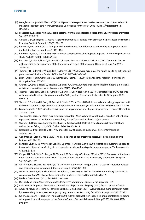- [8] Wengler A, Nimptsch U, Mansky T (2014) Hip and knee replacement in Germany and the USA analysis of individual inpatient data from German and US hospitals for the years 2005 to 2011. Ärzteblatt Int 111 (23–24):9
- [9] Foussereau J, Laugier P (1966) Allergic eczemas from metallic foreign bodies. Trans St John's Hosp Dermatol Soc 52(2):220–225
- [10] Carboni GP, Contri P, Pilla G, Vasina PG (1994) Dermatitis associated with orthopaedic prostheses and internal fixations. Contact Dermatitis 31(3):197–198
- [11] Kanerva L, Forstrom L (2001) Allergic nickel and chromate hand dermatitis induced by orthopaedic metal implant. Contact Dermatitis 44(2):103–104
- [12] Kubba R, Taylor JS, Marks KE (1981) Cutaneous complications of orthopedic implants. A two-year prospective study. Arch Dermatol 117(9):554–560
- [13] Rostoker G, Robin J, Binet O, Blamoutier J, Paupe J, Lessana-Leibowitch M, et al (1987) Dermatitis due to orthopaedic implants. A review of the literature and report of three cases. J Bone Joint Surg Am 69(9): 1408–1412
- [14] Thomas RH, Rademaker M, Goddard NJ, Munro DD (1987) Severe eczema of the hands due to an orthopaedic plate made of Vitallium. Br Med J (Clin Res Ed) 294(6564):106–107
- [15] Eben R, Walk R, Summer B, Maier S, Thomsen M, Thomas P (2009) Implant allergy register a first report. Orthopäde 38(6):557–562
- [16] Granchi D, Cenni E, Tigani D, Trisolino G, Baldini N, Giunti A (2008) Sensitivity to implant materials in patients with total knee arthroplasties. Biomaterials 29(10):1494–1500
- [17] Thomas P, Stauner K, Schraml A, Mahler V, Banke IJ, Gollwitzer H, et al (2013) Characteristics of 200 patients with suspected implant allergy compared to 100 symptom-free arthroplasty patients. Orthopäde 42(8): 607–613
- [18] Thomas P, Braathen LR, Dorig M, Aubock J, Nestle F, Werfel T, et al (2009) Increased metal allergy in patients with failed metal-on-metal hip arthroplasty and peri-implant T-lymphocytic inflammation. Allergy 64(8):1157–1165
- [19] Gawkrodger DJ (1993) Nickel sensitivity and the implantation of orthopaedic prostheses. Contact Dermatitis 28(5):257–259
- [20] Thienpont E, Berger Y (2013) No allergic reaction after TKA in a chrome-cobalt-nickel-sensitive patient: case report and review of the literature. Knee Surg, Sports Traumatol, Arthrosc 21(3):636–640
- [21] Sharkey PF, Hozack WJ, Rothman RH, Shastri S, Jacoby SM (2002) Insall Award paper. Why are total knee arthroplasties failing today? Clin Orthop Relat Res 404:7–13
- [22] Fitzgerald SJ, Trousdale RT (2011) Why knees fail in 2011: patient, surgeon, or device? Orthopedics 34(9):e513–515
- [23] Goodman SB, Gibon E, Yao Z (2013) The basic science of periprosthetic osteolysis. Instructional course lectures. 62:201–206
- [24] Pandit H, Vlychou M, Whitwell D, Crook D, Luqmani R, Ostlere S, et al (2008) Necrotic granulomatous pseudotumours in bilateral resurfacing hip arthoplasties: evidence for a type IV immune response. Virchows Archiv 453(5):529–534
- [25] Cooper HJ, Della Valle CJ, Berger RA, Tetreault M, Paprosky WG, Sporer SM, et al (2012) Corrosion at the headneck taper as a cause for adverse local tissue reactions after total hip arthroplasty. J Bone Joint Surg Am 94(18):1655–1561
- [26] Gill IP, Webb J, Sloan K, Beaver RJ (2012) Corrosion at the neck-stem junction as a cause of metal ion release and pseudotumour formation. J Bone Joint Surg Br 94(7):895–900
- [27] Gilbert JL, Sivan S, Liu Y, Kocagoz SB, Arnholt CM, Kurtz SM (2014) Direct in vivo inflammatory cell-induced corrosion of CoCrMo alloy orthopedic implant surfaces. J Biomed Materials Res Part A
- [28] Medical Device Alert (2012) Ref: MDA/2012/008
- [29] US Food and Drug Administration (2013) Concerns about metal-on-metal hip implants. FDA
- [30] Australian Orthopaedic Association National Joint Replacement Registry (2012) Annual report. AOANJR
- [31] Amini M, Mayes WH, Tzeng A, Tzeng TH, Saleh KJ, Mihalko WM (2014) Evaluation and management of metal hypersensitivity in total joint arthroplasty: a systematic review. J Long Term Eff Med Implants 24(1):25–36
- [32] Geier J, Lessmann H, Becker D, Thomas P (2008) Allergy diagnostics in suspected implant intolerance: practical approach. A position paper of the German Contact Dermatitis Research Group (DKG). Hautarzt 59(7): 594–597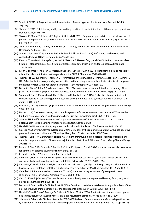- [33] Schalock PC (2013) Pragmatism and the evaluation of metal hypersensitivity reactions. Dermatitis 24(3): 104–105
- [34] Thomas P (2013) Patch testing and hypersensitivity reactions to metallic implants: still many open questions. Dermatitis 24(3):106–107
- [35] Thyssen JP, Menne T, Schalock PC, Taylor JS, Maibach HI (2011) Pragmatic approach to the clinical work-up of patients with putative allergic disease to metallic orthopaedic implants before and after surgery. Br J Dermatol 164(3):473–478
- [36] Thomas P, Summer B, Krenn V, Thomsen M (2013) Allergy diagnostics in suspected metal implant intolerance. Orthopäde 42(8):602–606
- [37] Schnuch A, Aberer W, Agathos M, Becker D, Brasch J, Elsner P, et al (2008) Performing patch testing with contact allergens. J Dtsch Dermatol Ges 6(9):770–775
- [38] Krenn V, Morawietz L, Kienapfel H, Ascherl R, Matziolis G, Hassenpflug J, et al (2013) Revised consensus classification. Histopathological classification of diseases associated with joint endoprostheses. Z Rheumatol 72(4):383–392
- <span id="page-31-0"></span>[39] Krenn V, Thomas P, Thomsen M, Kretzer JP, Usbeck S, Scheuber L, et al (2014) Histopathological particle algorithm : Particle identification in the synovia and the SLIM. Z Rheumatol 73(7):639–649
- [40] Thomas PH, C.v.d., Schopf C, Thomsen M, Frommelt L, Schneider J, Flaig M, Krenn V, Mazoochian F, Summer B (2012) Periimplant histology and cytokine pattern in Metal-allergic Knee arthroplasty patients with improvement after revision with hypoallergenic materials. Sem Arthroplasty 23(4):268–272
- [41] Dapunt U, Giese T, Prior B, Gaida MM, Hansch GM (2014) Infectious versus non-infectious loosening of implants: activation of T lymphocytes differentiates between the two entities. Int Orthop 38(6):1291–1296
- [42] Summer B, Paul C, Mazoochian F, Rau C, Thomsen M, Banke I, et al (20110) Nickel (Ni) allergic patients with complications to Ni containing joint replacement show preferential IL-17 type reactivity to Ni. Contact Dermatitis 63(1):15–22
- [43] Pichler WJ, Tilch J (2004) The lymphocyte transformation test in the diagnosis of drug hypersensitivity. Allergy 59(8):809–820
- [44] Eis DW (2008) Qualitätssicherung beim Lymphozytentransformationstest Addendum zum LTT-Papier der RKI-Kommission Methoden und Qualitätssicherung in der Umweltmedizin. BGG 51:1070–1076
- [45] Ständer STP, Rueff F, Summer B (2014) Comparative assessment of nickel sensitization based on medical history, patch test and lymphocyte transformation test. Allergo J Int23:1
- [46] Hallab N (2001) Metal sensitivity in patients with orthopedic implants. J Clin Rheumatol 7(4):215–218
- [47] Caicedo MS, Solver E, Coleman L, Hallab NJ (2014) Metal sensitivities among TJA patients with post-operative pain: indications for multi-metal LTT testing. J Long Term Eff Med Implants 24(1):37–44
- [48] Thomas P, Barnstorf S, Summer B, editors. Assessment of immuno-allergological properties of ceramic and metallic compounds in vitro. Bioceramics in joint arthroplasty. Toni A, Willmann G (ed.), Georg Thieme Verlag 2001:68–74
- [49] Beraudi A, Stea S, De Pasquale D, Bordini B, Catalani S, Apostoli P, et al (2014) Metal ion release: also a concern for ceramic-on-ceramic couplings? Hip Int 24(4):321–326
- [50] CeramTec GmbH (2014) www.ceramtec.com. Cited
- [51] Algarni AD, Huk OL, Pelmus M (2012) Metallosis-induced iliopsoas bursal cyst causing venous obstruction and lower-limb swelling after metal-on-metal THA. Orthopedics 35(12):e1811–1814
- [52] Cadossi M, Chiarello E, Savarino L, Mazzotti A, Tedesco G, Greco M, et al (2014) Fast growing pseudotumour in a hairdresser after metal-on-metal hip resurfacing: a case report. Eur Rev Med Pharmacol Sci 18 [1 Suppl]:29–33
- [53] Campbell P, Shimmin A, Walter L, Solomon M (2008) Metal sensitivity as a cause of groin pain in metal-on-metal hip resurfacing. J Arthroplasty 23(7):1080–1085
- [54] Cash DJ, Khanduja V (2014) The case for ceramic-on-polyethylene as the preferred bearing for a young adult hip replacement. Hip Int 24(5):421–427
- [55] De Haan R, Campbell PA, Su EP, De Smet KA (2008) Revision of metal-on-metal resurfacing arthroplasty of the hip: the influence of malpositioning of the components. J Bone Joint Surg Br 90(9):1158–1163
- [56] Harvie P, Giele H, Fang C, Ansorge O, Ostlere S, Gibbons M, et al (2008) The treatment of femoral neuropathy due to pseudotumour caused by metal-on-metal resurfacing arthroplasty. Hip Int 18(4):313–320
- [57] Johnson S, Babatunde OM, Lee J, Macaulay WB (2015) Revision of metal-on-metal surfaces in hip arthroplasty. In: Scudery GR (ed) Techniques in revision hip and knee arthroplasty. Elsevier Saunders; 2015: pp. 558–562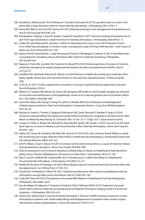- [58] Kawakita K, Shibanuma N, Tei K, Nishiyama T, Kuroda R, Kurosaka M (2013) Leg edema due to a mass in the pelvis after a large-diameter metal-on-metal total hip arthroplasty. J Arthroplasty 28(1):197e1–4
- [59] Kemp MA, Mitra A, da Costa TM, Spencer RF (2013) Bearing exchange in the management of pseudotumours. Ann R Coll Surg Engl 95(4):266–270
- [60] Kosukegawa I, Nagoya S, Kaya M, Sasaki K, Sasaki M, Yamashita T (2011) Revision total hip arthroplasty due to pain from hypersensitivity to cobalt-chromium in total hip arthroplasty. J Arthroplasty 26(6):978 e1–3
- [61] Liddle AD, Satchithananda K, Henckel J, Sabah SA, Vipulendran KV, Lewis A, et al (2013) Revision of metal-on-metal hip arthroplasty in a tertiary center: a prospective study of 39 hips with between 1 and 4 years of follow-up. Acta Orthop 84(3):237–245
- [62] Maurer-Ertl W, Friesenbichler J, Liegl-Atzwanger B, Kuerzl G, Windhager R, Leithner A (2011) Noninflammatory pseudotumor simulating venous thrombosis after metal-on-metal hip resurfacing. Orthopedics 34(10):e678–681
- [63] Rajpura A, Porter ML, Gambhir AK, Freemont AJ, Board TN (2010) Clinical experience of revision of metal on metal hip arthroplasty for aseptic lymphocyte dominated vasculitis associated lesions (ALVAL). Hip Int 21(1):43–51
- [64] Sandiford NA, Muirhead-Allwood SK, Skinner JA (2010) Revision of failed hip resurfacing to total hip arthroplasty rapidly relieves pain and improves function in the early post operative period. J Orthop Surg Res 5:88
- [65] Su EP, Su SL (2011) Surface replacement conversion: ensuring an optimal total hip replacement outcome. Sem Arthroplasty 22(2):4
- [66] Watters TS, Cardona DM, Menon KS, Vinson EN, Bolognesi MP, Dodd LG (2010) Aseptic lymphocyte-dominated vasculitis-associated lesion: a clinicopathologic review of an underrecognized cause of prosthetic failure. Am J Clin Pathol 134(6):886–693
- [67] Amini MH, Mayes WH, Tzeng A, Tzeng TH, Saleh KJ, Mihalko WM (2014) Evaluation and Management of Metal Hypersensitivity in Total Joint Arthroplasty: A Systematic Review. J Long Term Eff Med Implants 24(1):25–36
- [68] Bizzotto N, Sandri A, Trivellin G, Magnan B, Micheloni GM, Zamò, Bernardi P, Sbarbati A, Regis D (2014) Chromium-Induced Diffuse Dermatitis and Lymph Node Involvement by Langerhans Cell Histiocytosis After Metal-on-Metal Hip Resurfacing. Br J Deramtol. Nov 10. doi: 10.1111/bjd.13517. [Epub ahead of print]
- [69] Cooper HJ, Della CJ, Berger RA, Tetreault M, Paprosky WG, Sporer SM, Jacobs JJ (2012) Corrosion at the Head-Neck Tape ras a Cause for Adverse Local Tissue Reactions After Total Hip Arthroplasty. J Bone Joint Surg Am 94:1655–1661
- [70] Garbuz DS, Tanzer M, Greidanus NV, Masri BA, Duncan CP (2010) The John Charnley Award: Metal-on-metalhip resurfacing versus large-diameter head metal-on-metal total hip arthroplasty: a randomized clinical trial. Clin Orthop Relat Res 468(2):318–325
- [71] Gill IPS, Webb J, Sloan K, Beaver RJ (2012) Corrosion at the neck-stem junction as a cause of metal ion release and pseudotumour formation. J Bone Joint Surg Br 94-B:895–900
- [72] Kiran M, Boscainos PJ (2015) Adverse Reactions to Metal Debris in Metal-on-Polyethylene Total Hip Arthroplasty Using a Titanium-Molybdenum-Zirconium-Iron Alloy Stem. J Arthroplasty 30(2):277–281
- [73] Mao X, Tay GH, Godbolt DB, Crawford RW (2012) Pseudotumor in a Well-Fixed Metal-on-Polyethylene Uncemented Hip Arthroplasty. J Arthroplasty 27(3):493.e13–e17
- [74] Meftah M, Nicolaou N, Rodriguez JA (2010) Metal allergy response to femoral head-neck corrosion after total hip replacement. Curr Orthop Pract 21:530–533
- [75] Picardo NE, Al-Khateeb H, Pollock RC (2011) Atypical pseudotumour after metal-on-polyethylene total hip arthroplasty causing deep venous thrombosis. Hip Int 21(06):762–765
- [76] Scully WF, Teeny SM (2013) Pseudotumor Associated With Metal-on-Polyethylene Total Hip Arthroplasty. Orthopedics 36(5):e666–e670
- [77] Van der Wegen W, Sijbesma T, Hoekstra HJ, Brakel K, Pilot P, Nelissen RGHH (2013) Treatment of pseudotumors after metal-on-metal hip resurfacing based on Magnetic Resonance Imaging, metal ion levels and symptoms. J Arthroplasty 29(2):416–421
- [78] Dietrich KA, Mazoochian F, Summer B, Reinert M, Ruzicka T, Thomas P (2009) Intolerance reactions to knee arthroplasty in patients with nickel/cobalt allergy and disappearance of symptoms after revision surgery with titanium-based endoprostheses. J Dtsch Dermatol Ges 7(5):410–413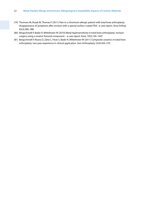- [79] Thomsen M, Rozak M, Thomas P (2011) Pain in a chromium-allergic patient with total knee arthroplasty: disappearance of symptoms after revision with a special surface-coated TKA–-a case report. Acta Orthop 82(3):386–388
- [80] Bergschmidt P, Bader R, Mittelmeier W (2010) Metal hypersensitivity in total knee arthroplasty: revision surgery using a ceramic femoral component – a case report. Knee 19(2):144–1447
- [81] Bergschmidt P, Kluess D, Zietz C, Finze S, Bader R, Mittelmeier W (2011) Composite ceramics in total knee arthroplasty: two-year experience in clinical application. Sem Arthroplasty 22(4):264–270